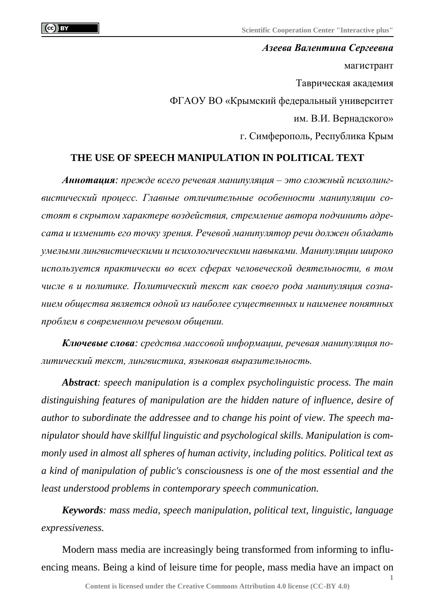*Азеева Валентина Сергеевна* магистрант Таврическая академия ФГАОУ ВО «Крымский федеральный университет им. В.И. Вернадского» г. Симферополь, Республика Крым

## **THE USE OF SPEECH MANIPULATION IN POLITICAL TEXT**

*Аннотация: прежде всего речевая манипуляция – это сложный психолингвистический процесс. Главные отличительные особенности манипуляции состоят в скрытом характере воздействия, стремление автора подчинить адресата и изменить его точку зрения. Речевой манипулятор речи должен обладать умелыми лингвистическими и психологическими навыками. Манипуляции широко используется практически во всех сферах человеческой деятельности, в том числе в и политике. Политический текст как своего рода манипуляция сознанием общества является одной из наиболее существенных и наименее понятных проблем в современном речевом общении.*

*Ключевые слова: средства массовой информации, речевая манипуляция политический текст, лингвистика, языковая выразительность.*

*Abstract: speech manipulation is a complex psycholinguistic process. The main distinguishing features of manipulation are the hidden nature of influence, desire of author to subordinate the addressee and to change his point of view. The speech manipulator should have skillful linguistic and psychological skills. Manipulation is commonly used in almost all spheres of human activity, including politics. Political text as a kind of manipulation of public's consciousness is one of the most essential and the least understood problems in contemporary speech communication.*

*Keywords: mass media, speech manipulation, political text, linguistic, language expressiveness.*

Modern mass media are increasingly being transformed from informing to influencing means. Being a kind of leisure time for people, mass media have an impact on

**1**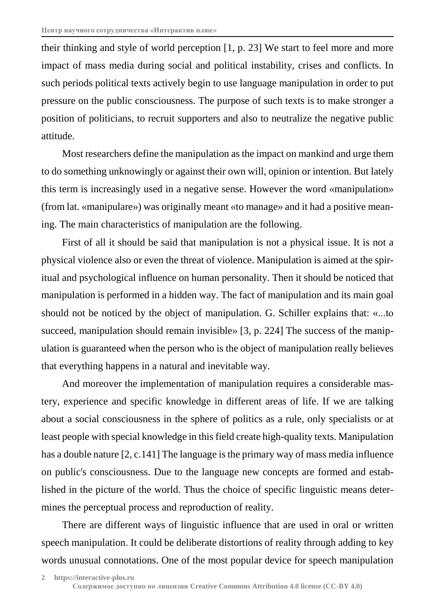their thinking and style of world perception [1, p. 23] We start to feel more and more impact of mass media during social and political instability, crises and conflicts. In such periods political texts actively begin to use language manipulation in order to put pressure on the public consciousness. The purpose of such texts is to make stronger a position of politicians, to recruit supporters and also to neutralize the negative public attitude.

Most researchers define the manipulation as the impact on mankind and urge them to do something unknowingly or against their own will, opinion or intention. But lately this term is increasingly used in a negative sense. However the word «manipulation» (from lat. «manipulare») was originally meant «to manage» and it had a positive meaning. The main characteristics of manipulation are the following.

First of all it should be said that manipulation is not a physical issue. It is not a physical violence also or even the threat of violence. Manipulation is aimed at the spiritual and psychological influence on human personality. Then it should be noticed that manipulation is performed in a hidden way. The fact of manipulation and its main goal should not be noticed by the object of manipulation. G. Schiller explains that: «...to succeed, manipulation should remain invisible» [3, p. 224] The success of the manipulation is guaranteed when the person who is the object of manipulation really believes that everything happens in a natural and inevitable way.

And moreover the implementation of manipulation requires a considerable mastery, experience and specific knowledge in different areas of life. If we are talking about a social consciousness in the sphere of politics as a rule, only specialists or at least people with special knowledge in this field create high-quality texts. Manipulation has a double nature [2, c.141] The language is the primary way of mass media influence on public's consciousness. Due to the language new concepts are formed and established in the picture of the world. Thus the choice of specific linguistic means determines the perceptual process and reproduction of reality.

There are different ways of linguistic influence that are used in oral or written speech manipulation. It could be deliberate distortions of reality through adding to key words unusual connotations. One of the most popular device for speech manipulation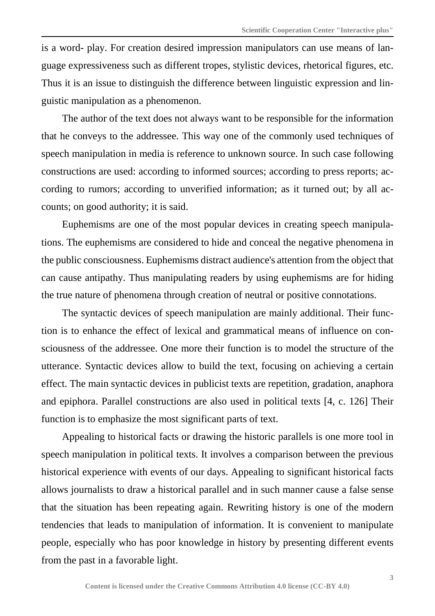is a word- play. For creation desired impression manipulators can use means of language expressiveness such as different tropes, stylistic devices, rhetorical figures, etc. Thus it is an issue to distinguish the difference between linguistic expression and linguistic manipulation as a phenomenon.

The author of the text does not always want to be responsible for the information that he conveys to the addressee. This way one of the commonly used techniques of speech manipulation in media is reference to unknown source. In such case following constructions are used: according to informed sources; according to press reports; according to rumors; according to unverified information; as it turned out; by all accounts; on good authority; it is said.

Euphemisms are one of the most popular devices in creating speech manipulations. The euphemisms are considered to hide and conceal the negative phenomena in the public consciousness. Euphemisms distract audience's attention from the object that can cause antipathy. Thus manipulating readers by using euphemisms are for hiding the true nature of phenomena through creation of neutral or positive connotations.

The syntactic devices of speech manipulation are mainly additional. Their function is to enhance the effect of lexical and grammatical means of influence on consciousness of the addressee. One more their function is to model the structure of the utterance. Syntactic devices allow to build the text, focusing on achieving a certain effect. The main syntactic devices in publicist texts are repetition, gradation, anaphora and epiphora. Parallel constructions are also used in political texts [4, c. 126] Their function is to emphasize the most significant parts of text.

Appealing to historical facts or drawing the historic parallels is one more tool in speech manipulation in political texts. It involves a comparison between the previous historical experience with events of our days. Appealing to significant historical facts allows journalists to draw a historical parallel and in such manner cause a false sense that the situation has been repeating again. Rewriting history is one of the modern tendencies that leads to manipulation of information. It is convenient to manipulate people, especially who has poor knowledge in history by presenting different events from the past in a favorable light.